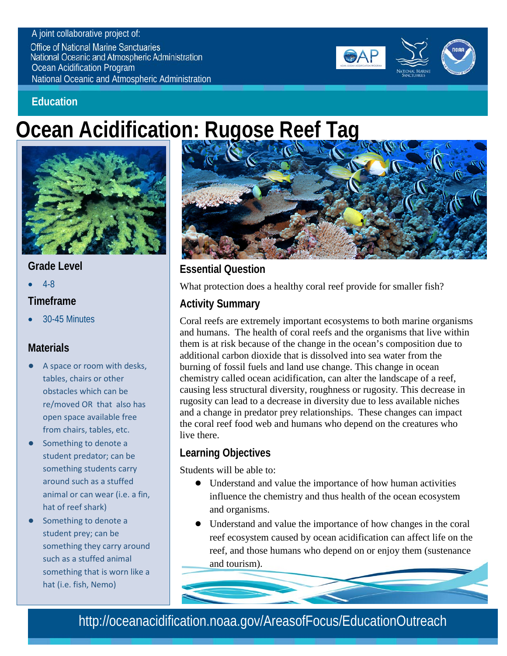#### A joint collaborative project of:

**Office of National Marine Sanctuaries National Oceanic and Atmospheric Administration** Ocean Acidification Program National Oceanic and Atmospheric Administration



### **Education**

# **Ocean Acidification: Rugose Reef Tag**



### **Grade Level**

• 4-8

### **Timeframe**

• 30-45 Minutes

### **Materials**

- A space or room with desks, tables, chairs or other obstacles which can be re/moved OR that also has open space available free from chairs, tables, etc.
- Something to denote a student predator; can be something students carry around such as a stuffed animal or can wear (i.e. a fin, hat of reef shark)
- Something to denote a student prey; can be something they carry around such as a stuffed animal something that is worn like a hat (i.e. fish, Nemo)



## **Essential Question**

What protection does a healthy coral reef provide for smaller fish?

# **Activity Summary**

Coral reefs are extremely important ecosystems to both marine organisms and humans. The health of coral reefs and the organisms that live within them is at risk because of the change in the ocean's composition due to additional carbon dioxide that is dissolved into sea water from the burning of fossil fuels and land use change. This change in ocean chemistry called ocean acidification, can alter the landscape of a reef, causing less structural diversity, roughness or rugosity. This decrease in rugosity can lead to a decrease in diversity due to less available niches and a change in predator prey relationships. These changes can impact the coral reef food web and humans who depend on the creatures who live there.

### **Learning Objectives**

Students will be able to:

- Understand and value the importance of how human activities influence the chemistry and thus health of the ocean ecosystem and organisms.
- Understand and value the importance of how changes in the coral reef ecosystem caused by ocean acidification can affect life on the reef, and those humans who depend on or enjoy them (sustenance and tourism).

# http://oceanacidification.noaa.gov/AreasofFocus/EducationOutreach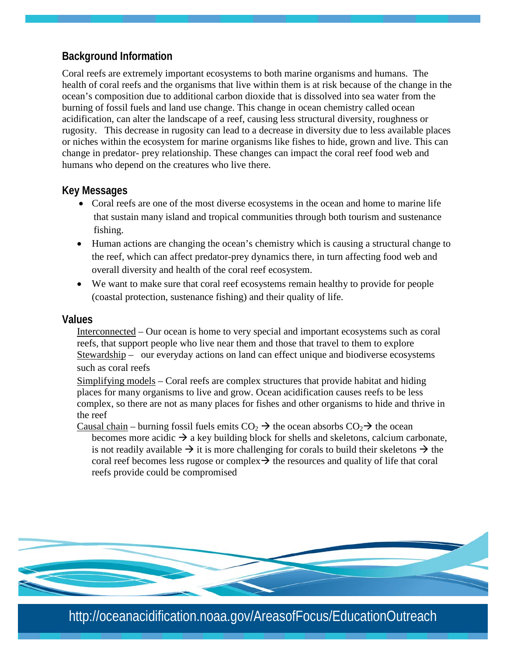### **Background Information**

Coral reefs are extremely important ecosystems to both marine organisms and humans. The health of coral reefs and the organisms that live within them is at risk because of the change in the ocean's composition due to additional carbon dioxide that is dissolved into sea water from the burning of fossil fuels and land use change. This change in ocean chemistry called ocean acidification, can alter the landscape of a reef, causing less structural diversity, roughness or rugosity. This decrease in rugosity can lead to a decrease in diversity due to less available places or niches within the ecosystem for marine organisms like fishes to hide, grown and live. This can change in predator- prey relationship. These changes can impact the coral reef food web and humans who depend on the creatures who live there.

### **Key Messages**

- Coral reefs are one of the most diverse ecosystems in the ocean and home to marine life that sustain many island and tropical communities through both tourism and sustenance fishing.
- Human actions are changing the ocean's chemistry which is causing a structural change to the reef, which can affect predator-prey dynamics there, in turn affecting food web and overall diversity and health of the coral reef ecosystem.
- We want to make sure that coral reef ecosystems remain healthy to provide for people (coastal protection, sustenance fishing) and their quality of life.

### **Values**

Interconnected – Our ocean is home to very special and important ecosystems such as coral reefs, that support people who live near them and those that travel to them to explore Stewardship – our everyday actions on land can effect unique and biodiverse ecosystems such as coral reefs

Simplifying models – Coral reefs are complex structures that provide habitat and hiding places for many organisms to live and grow. Ocean acidification causes reefs to be less complex, so there are not as many places for fishes and other organisms to hide and thrive in the reef

Causal chain – burning fossil fuels emits  $CO<sub>2</sub> \rightarrow$  the ocean absorbs  $CO<sub>2</sub> \rightarrow$  the ocean becomes more acidic  $\rightarrow$  a key building block for shells and skeletons, calcium carbonate, is not readily available  $\rightarrow$  it is more challenging for corals to build their skeletons  $\rightarrow$  the coral reef becomes less rugose or complex  $\rightarrow$  the resources and quality of life that coral reefs provide could be compromised



http://oceanacidification.noaa.gov/AreasofFocus/EducationOutreach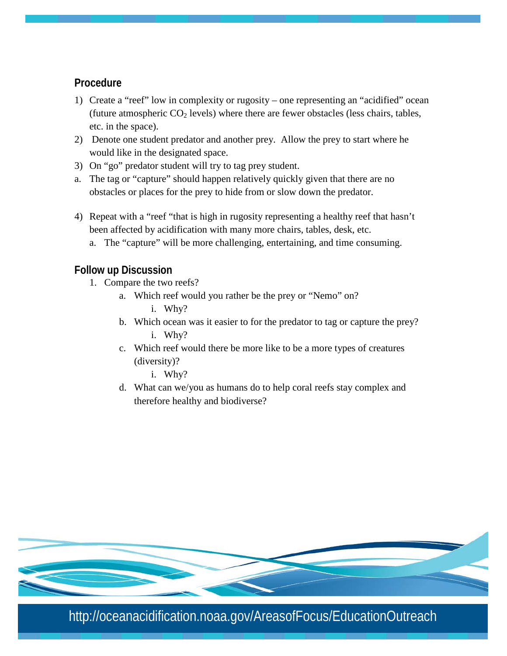### **Procedure**

- 1) Create a "reef" low in complexity or rugosity one representing an "acidified" ocean (future atmospheric  $CO<sub>2</sub>$  levels) where there are fewer obstacles (less chairs, tables, etc. in the space).
- 2) Denote one student predator and another prey. Allow the prey to start where he would like in the designated space.
- 3) On "go" predator student will try to tag prey student.
- a. The tag or "capture" should happen relatively quickly given that there are no obstacles or places for the prey to hide from or slow down the predator.
- 4) Repeat with a "reef "that is high in rugosity representing a healthy reef that hasn't been affected by acidification with many more chairs, tables, desk, etc.
	- a. The "capture" will be more challenging, entertaining, and time consuming.

### **Follow up Discussion**

- 1. Compare the two reefs?
	- a. Which reef would you rather be the prey or "Nemo" on? i. Why?
	- b. Which ocean was it easier to for the predator to tag or capture the prey? i. Why?
	- c. Which reef would there be more like to be a more types of creatures (diversity)?
		- i. Why?
	- d. What can we/you as humans do to help coral reefs stay complex and therefore healthy and biodiverse?



http://oceanacidification.noaa.gov/AreasofFocus/EducationOutreach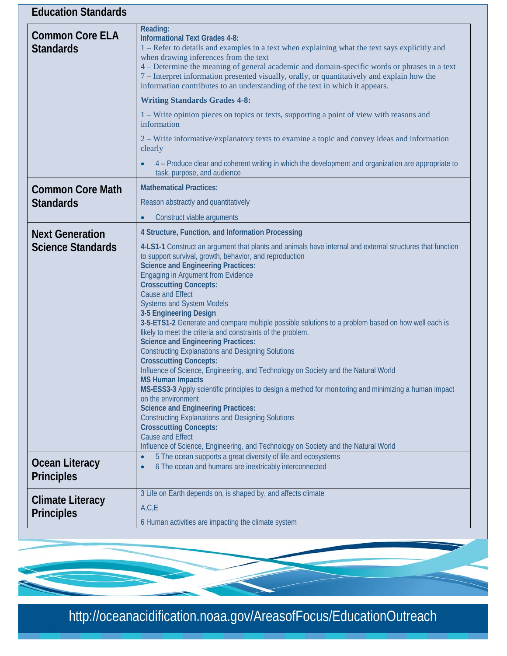| <b>Education Standards</b>                         |                                                                                                                                                                                                                                                                                                                                                                                                                                                                                                                                                                                                                                                                                                                                                                                                                                                                                                                                                                                               |
|----------------------------------------------------|-----------------------------------------------------------------------------------------------------------------------------------------------------------------------------------------------------------------------------------------------------------------------------------------------------------------------------------------------------------------------------------------------------------------------------------------------------------------------------------------------------------------------------------------------------------------------------------------------------------------------------------------------------------------------------------------------------------------------------------------------------------------------------------------------------------------------------------------------------------------------------------------------------------------------------------------------------------------------------------------------|
| <b>Common Core ELA</b><br><b>Standards</b>         | Reading:<br><b>Informational Text Grades 4-8:</b><br>1 – Refer to details and examples in a text when explaining what the text says explicitly and<br>when drawing inferences from the text<br>4 – Determine the meaning of general academic and domain-specific words or phrases in a text<br>7 – Interpret information presented visually, orally, or quantitatively and explain how the<br>information contributes to an understanding of the text in which it appears.<br><b>Writing Standards Grades 4-8:</b>                                                                                                                                                                                                                                                                                                                                                                                                                                                                            |
|                                                    | 1 – Write opinion pieces on topics or texts, supporting a point of view with reasons and<br>information                                                                                                                                                                                                                                                                                                                                                                                                                                                                                                                                                                                                                                                                                                                                                                                                                                                                                       |
|                                                    | 2 – Write informative/explanatory texts to examine a topic and convey ideas and information<br>clearly                                                                                                                                                                                                                                                                                                                                                                                                                                                                                                                                                                                                                                                                                                                                                                                                                                                                                        |
|                                                    | 4 - Produce clear and coherent writing in which the development and organization are appropriate to<br>task, purpose, and audience                                                                                                                                                                                                                                                                                                                                                                                                                                                                                                                                                                                                                                                                                                                                                                                                                                                            |
| <b>Common Core Math</b><br><b>Standards</b>        | <b>Mathematical Practices:</b>                                                                                                                                                                                                                                                                                                                                                                                                                                                                                                                                                                                                                                                                                                                                                                                                                                                                                                                                                                |
|                                                    | Reason abstractly and quantitatively                                                                                                                                                                                                                                                                                                                                                                                                                                                                                                                                                                                                                                                                                                                                                                                                                                                                                                                                                          |
|                                                    | Construct viable arguments                                                                                                                                                                                                                                                                                                                                                                                                                                                                                                                                                                                                                                                                                                                                                                                                                                                                                                                                                                    |
| <b>Next Generation</b><br><b>Science Standards</b> | 4 Structure, Function, and Information Processing<br>4-LS1-1 Construct an argument that plants and animals have internal and external structures that function<br>to support survival, growth, behavior, and reproduction<br><b>Science and Engineering Practices:</b>                                                                                                                                                                                                                                                                                                                                                                                                                                                                                                                                                                                                                                                                                                                        |
|                                                    | <b>Engaging in Argument from Evidence</b><br><b>Crosscutting Concepts:</b><br><b>Cause and Effect</b><br><b>Systems and System Models</b><br>3-5 Engineering Design<br>3-5-ETS1-2 Generate and compare multiple possible solutions to a problem based on how well each is<br>likely to meet the criteria and constraints of the problem.<br><b>Science and Engineering Practices:</b><br><b>Constructing Explanations and Designing Solutions</b><br><b>Crosscutting Concepts:</b><br>Influence of Science, Engineering, and Technology on Society and the Natural World<br><b>MS Human Impacts</b><br>MS-ESS3-3 Apply scientific principles to design a method for monitoring and minimizing a human impact<br>on the environment<br><b>Science and Engineering Practices:</b><br><b>Constructing Explanations and Designing Solutions</b><br><b>Crosscutting Concepts:</b><br><b>Cause and Effect</b><br>Influence of Science, Engineering, and Technology on Society and the Natural World |
| <b>Ocean Literacy</b><br><b>Principles</b>         | 5 The ocean supports a great diversity of life and ecosystems<br>$\bullet$<br>6 The ocean and humans are inextricably interconnected                                                                                                                                                                                                                                                                                                                                                                                                                                                                                                                                                                                                                                                                                                                                                                                                                                                          |
| <b>Climate Literacy</b><br><b>Principles</b>       | 3 Life on Earth depends on, is shaped by, and affects climate<br>A, C, E<br>6 Human activities are impacting the climate system                                                                                                                                                                                                                                                                                                                                                                                                                                                                                                                                                                                                                                                                                                                                                                                                                                                               |

http://oceanacidification.noaa.gov/AreasofFocus/EducationOutreach